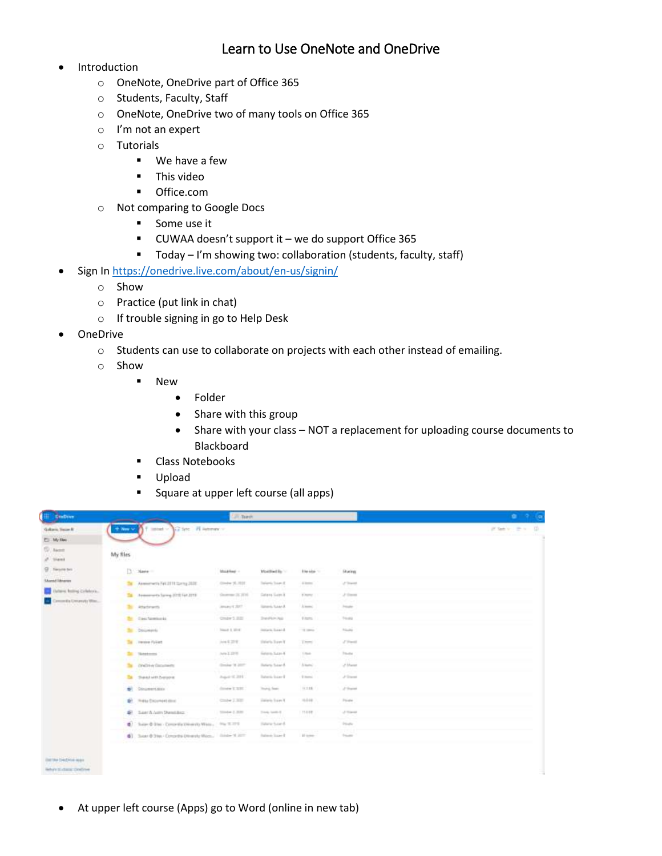## Learn to Use OneNote and OneDrive

- Introduction
	- o OneNote, OneDrive part of Office 365
	- o Students, Faculty, Staff
	- o OneNote, OneDrive two of many tools on Office 365
	- o I'm not an expert
	- o Tutorials
		- We have a few
		- **This video**
		- **•** Office.com
	- o Not comparing to Google Docs
		- **Some use it**
		- CUWAA doesn't support it we do support Office 365
		- Today I'm showing two: collaboration (students, faculty, staff)
- Sign In <https://onedrive.live.com/about/en-us/signin/>
	- o Show
	- o Practice (put link in chat)
	- o If trouble signing in go to Help Desk
- OneDrive
	- o Students can use to collaborate on projects with each other instead of emailing.
	- o Show
		- **New** 
			- Folder
			- Share with this group
			- Share with your class NOT a replacement for uploading course documents to Blackboard
		- **Class Notebooks**
		- Upload
		- Square at upper left course (all apps)

| Gallants Texas R<br>T. My Dec<br><b>Silliant</b>                                                   | Filmout - Girline - Hilammer -<br>+ New Y          |                                   |                        |                        |                    |             |
|----------------------------------------------------------------------------------------------------|----------------------------------------------------|-----------------------------------|------------------------|------------------------|--------------------|-------------|
|                                                                                                    |                                                    |                                   |                        |                        |                    | Philip Pr D |
|                                                                                                    |                                                    |                                   |                        |                        |                    |             |
| aft. Stand                                                                                         | My files                                           |                                   |                        |                        |                    |             |
| G. Tenmin bri<br><b>Shared Ukraines</b><br>Asteric Rolling Collabora.<br>Denomity Creversity Winc. | $\Box$ - Name -                                    | MARRHE -                          | Montfied Ry            | <b>Eller Albert 11</b> | During             |             |
|                                                                                                    | The Assessments Fell 2019 Spring 2020              | Circle 3L101                      | Striptic Score &       | 1500                   | of Stand           |             |
|                                                                                                    | Ta Assessments Survey (2212 For 2019)              | Governor 26, 2016                 | <b>Gram Gain X</b>     | <b>B</b> Partner       | $\mathcal{S}$ from |             |
|                                                                                                    | $\mathbb{R}^n$<br>Atachments                       | James CAST                        | lanes have &           | A.mend                 | <b>Joseph</b>      |             |
|                                                                                                    | <b>Br</b> Cast Nomination                          | Onder 5, 3101                     | <b>Datable Auto</b>    | Firms:                 | To and             |             |
|                                                                                                    | <b>Bill</b> Christmas                              | <b>Stand &amp; Strat</b>          | Intern Search          | $-1$ and $-1$          | Triale of          |             |
|                                                                                                    | To recove Fullett                                  | Are 6 27 W                        | tions from Y           | Them:                  | $270-10$           |             |
|                                                                                                    | <b>Sec Notes</b>                                   | Are Lizer                         | <b>Seven Say 4</b>     | 1 mon-                 | <b>Tours</b>       |             |
|                                                                                                    | <b>Challeng Consultants</b><br>ъ.                  | Droke '8 207                      | Bateria Susan &        | Arkans'                | 2 March            |             |
|                                                                                                    | To:<br>Sashin beyon                                | August 2011                       | <b>Tureric Scare B</b> | 0 mm                   | J'David            |             |
|                                                                                                    | Conservations<br>$\frac{1}{2}$                     | dance it total                    | Trainig Seats          | 11.138                 | of their           |             |
|                                                                                                    | Thitle Encumerizioni<br>D)                         | 2200                              | Dalaris Saye 1         | $-144.$                | Floater            |             |
|                                                                                                    | B San'A (um Steeday)                               | $\text{Time} \leftarrow 2, 35.35$ | Transported II         | 110.00                 | J. Toronto         |             |
|                                                                                                    | (C) These G Step - Concertly Diversity West -      | $1004 \times 10^{-12}$            | Here has 6             |                        | <b>Stude</b>       |             |
|                                                                                                    | 6) Suar 0:3ter Constructs Densyle Was  Instead Jam |                                   | <b>Island Start I</b>  | <b>All looker</b>      | <b>Super</b>       |             |
|                                                                                                    |                                                    |                                   |                        |                        |                    |             |
| list the Decision was<br>Why's to dame condinue.                                                   |                                                    |                                   |                        |                        |                    |             |

At upper left course (Apps) go to Word (online in new tab)